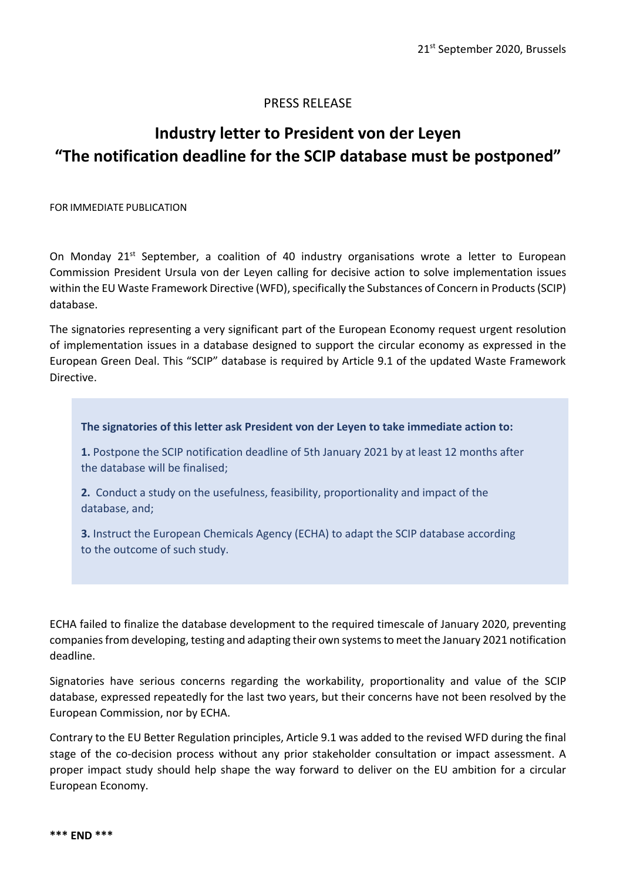## PRESS RELEASE

## **Industry letter to President von der Leyen "The notification deadline for the SCIP database must be postponed"**

FOR IMMEDIATE PUBLICATION

On Monday 21<sup>st</sup> September, a coalition of 40 industry organisations wrote a letter to European Commission President Ursula von der Leyen calling for decisive action to solve implementation issues within the EU Waste Framework Directive (WFD), specifically the Substances of Concern in Products (SCIP) database.

The signatories representing a very significant part of the European Economy request urgent resolution of implementation issues in a database designed to support the circular economy as expressed in the European Green Deal. This "SCIP" database is required by Article 9.1 of the updated Waste Framework Directive.

## **The signatories of this letter ask President von der Leyen to take immediate action to:**

**1.** Postpone the SCIP notification deadline of 5th January 2021 by at least 12 months after the database will be finalised;

**2.** Conduct a study on the usefulness, feasibility, proportionality and impact of the database, and;

**3.** Instruct the European Chemicals Agency (ECHA) to adapt the SCIP database according to the outcome of such study.

ECHA failed to finalize the database development to the required timescale of January 2020, preventing companiesfrom developing, testing and adapting their own systemsto meet the January 2021 notification deadline.

Signatories have serious concerns regarding the workability, proportionality and value of the SCIP database, expressed repeatedly for the last two years, but their concerns have not been resolved by the European Commission, nor by ECHA.

Contrary to the EU Better Regulation principles, Article 9.1 was added to the revised WFD during the final stage of the co-decision process without any prior stakeholder consultation or impact assessment. A proper impact study should help shape the way forward to deliver on the EU ambition for a circular European Economy.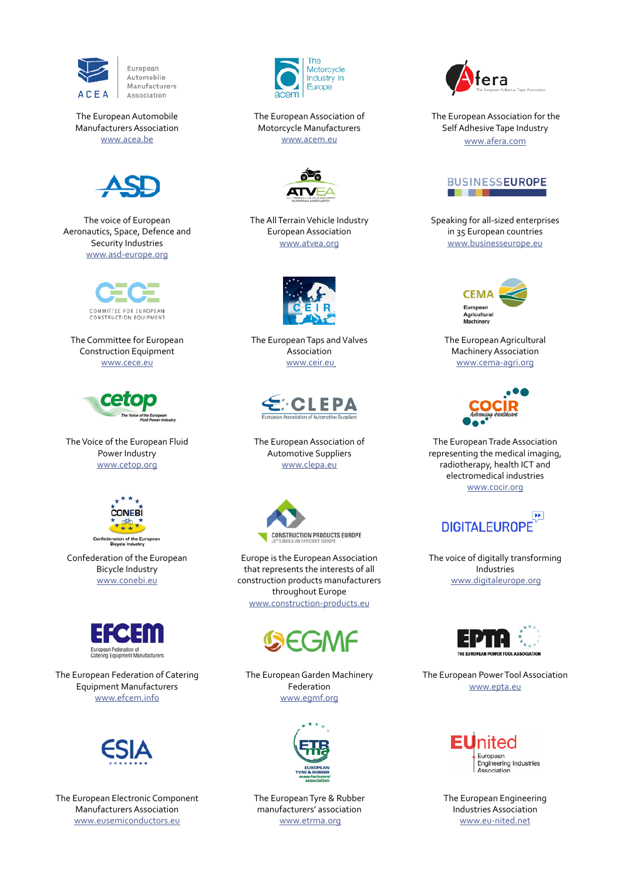

European Automobile Manufacturers Association

## The European Automobile Manufacturers Association [www.acea.be](http://www.acea.be)



The voice of European Aeronautics, Space, Defence and Security Industries [www.asd-europe.org](http://www.asd-europe.org)



The Committee for European Construction Equipment [www.cece.eu](http://www.cece.eu)



The Voice of the European Fluid Power Industry [www.cetop.org](https://www.cetop.org/)



Confederation of the European Bicycle Industry [www.conebi.eu](http://www.conebi.eu)



The European Federation of Catering Equipment Manufacturers [www.efcem.info](http://www.efcem.info)



The European Electronic Component Manufacturers Association [www.eusemiconductors.eu](http://www.eusemiconductors.eu)



The European Association of Motorcycle Manufacturers [www.acem.eu](http://www.acem.eu)



The All Terrain Vehicle Industry European Association [www.atvea.org](http://www.atvea.org)



The European Taps and Valves Association [www.ceir.eu](http://www.ceir.eu)



The European Association of Automotive Suppliers [www.clepa.eu](http://www.clepa.eu)



Europe is the European Association that represents the interests of all construction products manufacturers throughout Europe [www.construction-products.eu](http://www.construction-products.eu)



The European Garden Machinery Federation [www.egmf.org](http://www.egmf.org)



The European Tyre & Rubber manufacturers' association [www.etrma.org](http://www.etrma.org)



 The European Association for the Self Adhesive Tape Industry www.afera.com



Speaking for all-sized enterprises in 35 European countries [www.businesseurope.eu](http://www.businesseurope.eu)



The European Agricultural Machinery Association [www.cema-agri.org](http://www.cema-agri.org)



The European Trade Association representing the medical imaging, radiotherapy, health ICT and electromedical industries [www.cocir.org](http://www.cocir.org)



The voice of digitally transforming Industries [www.digitaleurope.org](http://www.digitaleurope.org)



The European Power Tool Association [www.epta.eu](http://www.epta.eu)



The European Engineering Industries Association [www.eu-nited.net](http://www.eu-nited.net)